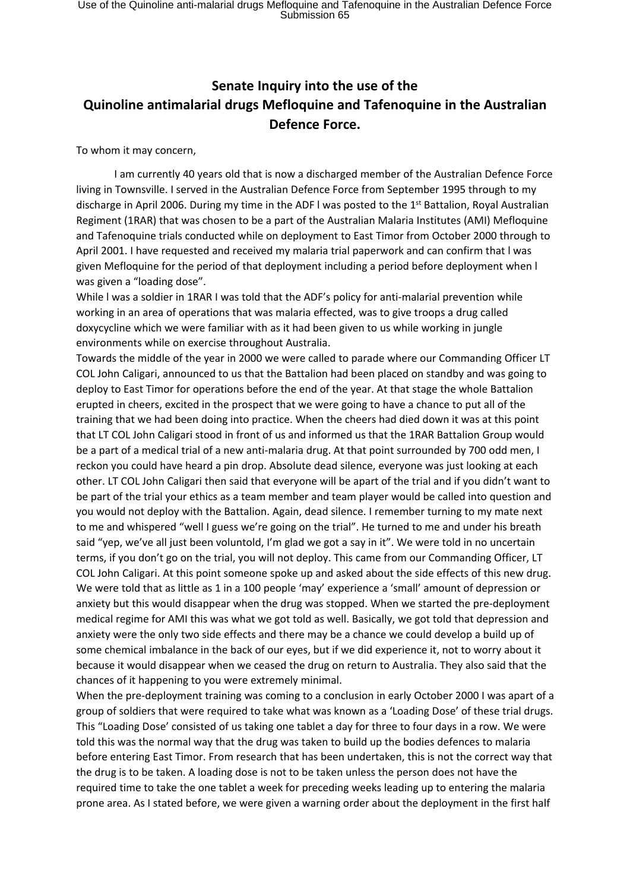## **Senate Inquiry into the use of the Quinoline antimalarial drugs Mefloquine and Tafenoquine in the Australian Defence Force.**

To whom it may concern,

I am currently 40 years old that is now a discharged member of the Australian Defence Force living in Townsville. I served in the Australian Defence Force from September 1995 through to my discharge in April 2006. During my time in the ADF I was posted to the 1<sup>st</sup> Battalion, Royal Australian Regiment (1RAR) that was chosen to be a part of the Australian Malaria Institutes (AMI) Mefloquine and Tafenoquine trials conducted while on deployment to East Timor from October 2000 through to April 2001. I have requested and received my malaria trial paperwork and can confirm that l was given Mefloquine for the period of that deployment including a period before deployment when l was given a "loading dose".

While l was a soldier in 1RAR I was told that the ADF's policy for anti-malarial prevention while working in an area of operations that was malaria effected, was to give troops a drug called doxycycline which we were familiar with as it had been given to us while working in jungle environments while on exercise throughout Australia.

Towards the middle of the year in 2000 we were called to parade where our Commanding Officer LT COL John Caligari, announced to us that the Battalion had been placed on standby and was going to deploy to East Timor for operations before the end of the year. At that stage the whole Battalion erupted in cheers, excited in the prospect that we were going to have a chance to put all of the training that we had been doing into practice. When the cheers had died down it was at this point that LT COL John Caligari stood in front of us and informed us that the 1RAR Battalion Group would be a part of a medical trial of a new anti-malaria drug. At that point surrounded by 700 odd men, I reckon you could have heard a pin drop. Absolute dead silence, everyone was just looking at each other. LT COL John Caligari then said that everyone will be apart of the trial and if you didn't want to be part of the trial your ethics as a team member and team player would be called into question and you would not deploy with the Battalion. Again, dead silence. I remember turning to my mate next to me and whispered "well I guess we're going on the trial". He turned to me and under his breath said "yep, we've all just been voluntold, I'm glad we got a say in it". We were told in no uncertain terms, if you don't go on the trial, you will not deploy. This came from our Commanding Officer, LT COL John Caligari. At this point someone spoke up and asked about the side effects of this new drug. We were told that as little as 1 in a 100 people 'may' experience a 'small' amount of depression or anxiety but this would disappear when the drug was stopped. When we started the pre-deployment medical regime for AMI this was what we got told as well. Basically, we got told that depression and anxiety were the only two side effects and there may be a chance we could develop a build up of some chemical imbalance in the back of our eyes, but if we did experience it, not to worry about it because it would disappear when we ceased the drug on return to Australia. They also said that the chances of it happening to you were extremely minimal.

When the pre-deployment training was coming to a conclusion in early October 2000 I was apart of a group of soldiers that were required to take what was known as a 'Loading Dose' of these trial drugs. This "Loading Dose' consisted of us taking one tablet a day for three to four days in a row. We were told this was the normal way that the drug was taken to build up the bodies defences to malaria before entering East Timor. From research that has been undertaken, this is not the correct way that the drug is to be taken. A loading dose is not to be taken unless the person does not have the required time to take the one tablet a week for preceding weeks leading up to entering the malaria prone area. As I stated before, we were given a warning order about the deployment in the first half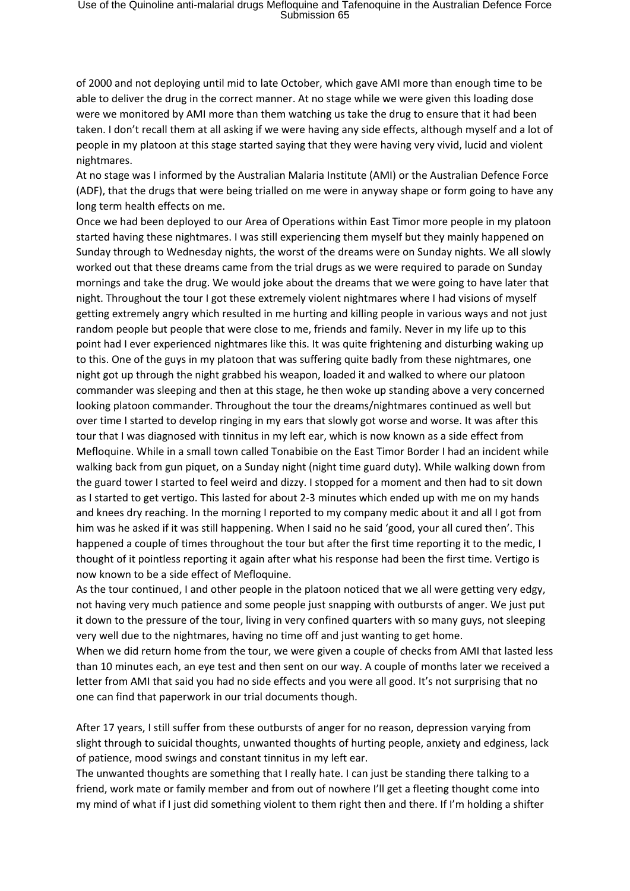of 2000 and not deploying until mid to late October, which gave AMI more than enough time to be able to deliver the drug in the correct manner. At no stage while we were given this loading dose were we monitored by AMI more than them watching us take the drug to ensure that it had been taken. I don't recall them at all asking if we were having any side effects, although myself and a lot of people in my platoon at this stage started saying that they were having very vivid, lucid and violent nightmares.

At no stage was I informed by the Australian Malaria Institute (AMI) or the Australian Defence Force (ADF), that the drugs that were being trialled on me were in anyway shape or form going to have any long term health effects on me.

Once we had been deployed to our Area of Operations within East Timor more people in my platoon started having these nightmares. I was still experiencing them myself but they mainly happened on Sunday through to Wednesday nights, the worst of the dreams were on Sunday nights. We all slowly worked out that these dreams came from the trial drugs as we were required to parade on Sunday mornings and take the drug. We would joke about the dreams that we were going to have later that night. Throughout the tour I got these extremely violent nightmares where I had visions of myself getting extremely angry which resulted in me hurting and killing people in various ways and not just random people but people that were close to me, friends and family. Never in my life up to this point had I ever experienced nightmares like this. It was quite frightening and disturbing waking up to this. One of the guys in my platoon that was suffering quite badly from these nightmares, one night got up through the night grabbed his weapon, loaded it and walked to where our platoon commander was sleeping and then at this stage, he then woke up standing above a very concerned looking platoon commander. Throughout the tour the dreams/nightmares continued as well but over time I started to develop ringing in my ears that slowly got worse and worse. It was after this tour that I was diagnosed with tinnitus in my left ear, which is now known as a side effect from Mefloquine. While in a small town called Tonabibie on the East Timor Border I had an incident while walking back from gun piquet, on a Sunday night (night time guard duty). While walking down from the guard tower I started to feel weird and dizzy. I stopped for a moment and then had to sit down as I started to get vertigo. This lasted for about 2-3 minutes which ended up with me on my hands and knees dry reaching. In the morning I reported to my company medic about it and all I got from him was he asked if it was still happening. When I said no he said 'good, your all cured then'. This happened a couple of times throughout the tour but after the first time reporting it to the medic, I thought of it pointless reporting it again after what his response had been the first time. Vertigo is now known to be a side effect of Mefloquine.

As the tour continued, I and other people in the platoon noticed that we all were getting very edgy, not having very much patience and some people just snapping with outbursts of anger. We just put it down to the pressure of the tour, living in very confined quarters with so many guys, not sleeping very well due to the nightmares, having no time off and just wanting to get home.

When we did return home from the tour, we were given a couple of checks from AMI that lasted less than 10 minutes each, an eye test and then sent on our way. A couple of months later we received a letter from AMI that said you had no side effects and you were all good. It's not surprising that no one can find that paperwork in our trial documents though.

After 17 years, I still suffer from these outbursts of anger for no reason, depression varying from slight through to suicidal thoughts, unwanted thoughts of hurting people, anxiety and edginess, lack of patience, mood swings and constant tinnitus in my left ear.

The unwanted thoughts are something that I really hate. I can just be standing there talking to a friend, work mate or family member and from out of nowhere I'll get a fleeting thought come into my mind of what if I just did something violent to them right then and there. If I'm holding a shifter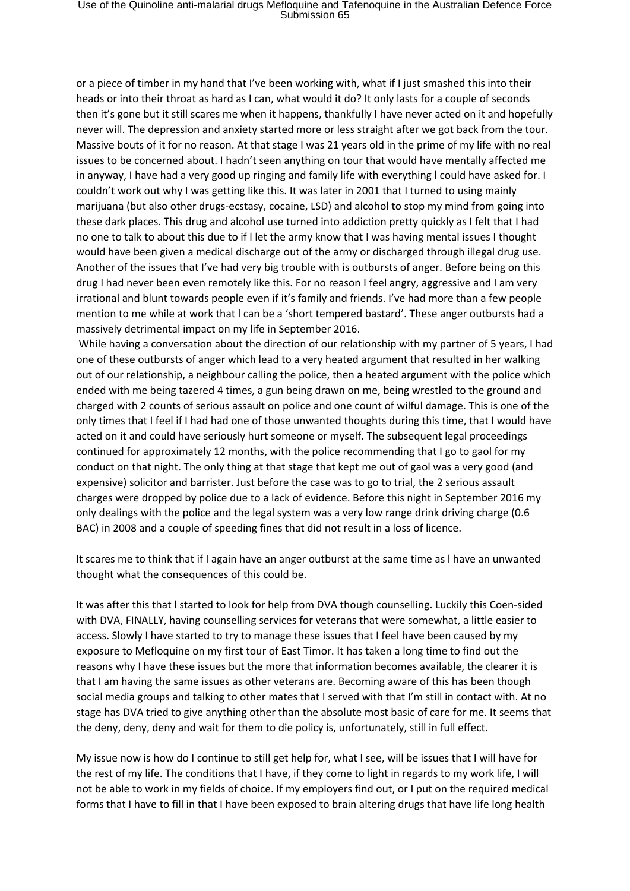or a piece of timber in my hand that I've been working with, what if I just smashed this into their heads or into their throat as hard as I can, what would it do? It only lasts for a couple of seconds then it's gone but it still scares me when it happens, thankfully I have never acted on it and hopefully never will. The depression and anxiety started more or less straight after we got back from the tour. Massive bouts of it for no reason. At that stage I was 21 years old in the prime of my life with no real issues to be concerned about. I hadn't seen anything on tour that would have mentally affected me in anyway, I have had a very good up ringing and family life with everything l could have asked for. I couldn't work out why I was getting like this. It was later in 2001 that I turned to using mainly marijuana (but also other drugs-ecstasy, cocaine, LSD) and alcohol to stop my mind from going into these dark places. This drug and alcohol use turned into addiction pretty quickly as I felt that I had no one to talk to about this due to if l let the army know that I was having mental issues I thought would have been given a medical discharge out of the army or discharged through illegal drug use. Another of the issues that I've had very big trouble with is outbursts of anger. Before being on this drug I had never been even remotely like this. For no reason I feel angry, aggressive and I am very irrational and blunt towards people even if it's family and friends. I've had more than a few people mention to me while at work that l can be a 'short tempered bastard'. These anger outbursts had a massively detrimental impact on my life in September 2016.

While having a conversation about the direction of our relationship with my partner of 5 years, I had one of these outbursts of anger which lead to a very heated argument that resulted in her walking out of our relationship, a neighbour calling the police, then a heated argument with the police which ended with me being tazered 4 times, a gun being drawn on me, being wrestled to the ground and charged with 2 counts of serious assault on police and one count of wilful damage. This is one of the only times that I feel if I had had one of those unwanted thoughts during this time, that I would have acted on it and could have seriously hurt someone or myself. The subsequent legal proceedings continued for approximately 12 months, with the police recommending that I go to gaol for my conduct on that night. The only thing at that stage that kept me out of gaol was a very good (and expensive) solicitor and barrister. Just before the case was to go to trial, the 2 serious assault charges were dropped by police due to a lack of evidence. Before this night in September 2016 my only dealings with the police and the legal system was a very low range drink driving charge (0.6 BAC) in 2008 and a couple of speeding fines that did not result in a loss of licence.

It scares me to think that if I again have an anger outburst at the same time as l have an unwanted thought what the consequences of this could be.

It was after this that l started to look for help from DVA though counselling. Luckily this Coen-sided with DVA, FINALLY, having counselling services for veterans that were somewhat, a little easier to access. Slowly I have started to try to manage these issues that I feel have been caused by my exposure to Mefloquine on my first tour of East Timor. It has taken a long time to find out the reasons why I have these issues but the more that information becomes available, the clearer it is that I am having the same issues as other veterans are. Becoming aware of this has been though social media groups and talking to other mates that I served with that I'm still in contact with. At no stage has DVA tried to give anything other than the absolute most basic of care for me. It seems that the deny, deny, deny and wait for them to die policy is, unfortunately, still in full effect.

My issue now is how do I continue to still get help for, what I see, will be issues that I will have for the rest of my life. The conditions that I have, if they come to light in regards to my work life, I will not be able to work in my fields of choice. If my employers find out, or I put on the required medical forms that I have to fill in that I have been exposed to brain altering drugs that have life long health